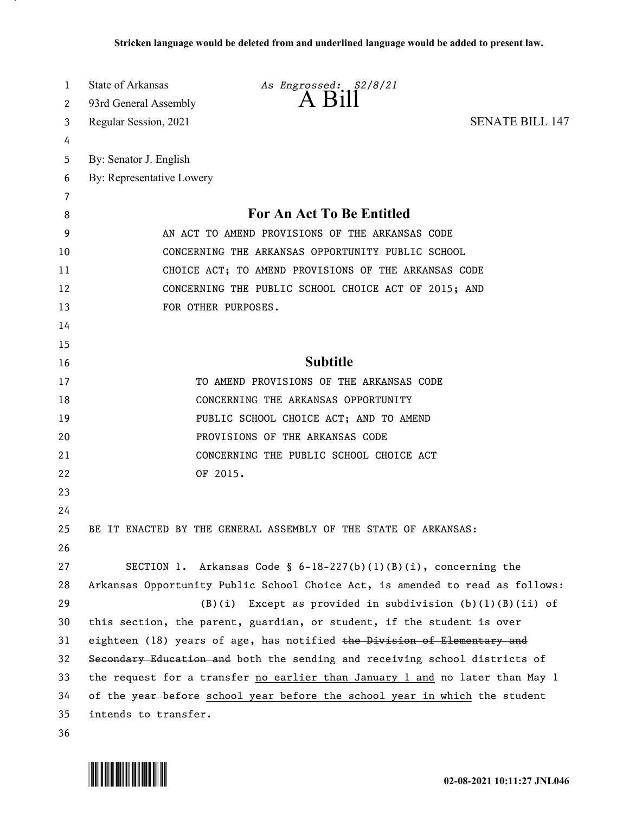| 1  | State of Arkansas                                    | As Engrossed: \$2/8/21                                                        |                        |
|----|------------------------------------------------------|-------------------------------------------------------------------------------|------------------------|
| 2  | 93rd General Assembly                                |                                                                               |                        |
| 3  | Regular Session, 2021                                |                                                                               | <b>SENATE BILL 147</b> |
| 4  |                                                      |                                                                               |                        |
| 5  | By: Senator J. English                               |                                                                               |                        |
| 6  | By: Representative Lowery                            |                                                                               |                        |
| 7  |                                                      |                                                                               |                        |
| 8  | <b>For An Act To Be Entitled</b>                     |                                                                               |                        |
| 9  | AN ACT TO AMEND PROVISIONS OF THE ARKANSAS CODE      |                                                                               |                        |
| 10 | CONCERNING THE ARKANSAS OPPORTUNITY PUBLIC SCHOOL    |                                                                               |                        |
| 11 | CHOICE ACT; TO AMEND PROVISIONS OF THE ARKANSAS CODE |                                                                               |                        |
| 12 | CONCERNING THE PUBLIC SCHOOL CHOICE ACT OF 2015; AND |                                                                               |                        |
| 13 |                                                      | FOR OTHER PURPOSES.                                                           |                        |
| 14 |                                                      |                                                                               |                        |
| 15 |                                                      |                                                                               |                        |
| 16 |                                                      | <b>Subtitle</b>                                                               |                        |
| 17 |                                                      | TO AMEND PROVISIONS OF THE ARKANSAS CODE                                      |                        |
| 18 |                                                      | CONCERNING THE ARKANSAS OPPORTUNITY                                           |                        |
| 19 |                                                      | PUBLIC SCHOOL CHOICE ACT; AND TO AMEND                                        |                        |
| 20 |                                                      | PROVISIONS OF THE ARKANSAS CODE                                               |                        |
| 21 |                                                      | CONCERNING THE PUBLIC SCHOOL CHOICE ACT                                       |                        |
| 22 |                                                      | OF 2015.                                                                      |                        |
| 23 |                                                      |                                                                               |                        |
| 24 |                                                      |                                                                               |                        |
| 25 |                                                      | BE IT ENACTED BY THE GENERAL ASSEMBLY OF THE STATE OF ARKANSAS:               |                        |
| 26 |                                                      |                                                                               |                        |
| 27 |                                                      | SECTION 1. Arkansas Code § $6-18-227(b)(1)(B)(i)$ , concerning the            |                        |
| 28 |                                                      | Arkansas Opportunity Public School Choice Act, is amended to read as follows: |                        |
| 29 |                                                      | Except as provided in subdivision $(b)(1)(B)(ii)$ of<br>(B)(i)                |                        |
| 30 |                                                      | this section, the parent, guardian, or student, if the student is over        |                        |
| 31 |                                                      | eighteen (18) years of age, has notified the Division of Elementary and       |                        |
| 32 |                                                      | Secondary Education and both the sending and receiving school districts of    |                        |
| 33 |                                                      | the request for a transfer no earlier than January 1 and no later than May 1  |                        |
| 34 |                                                      | of the year before school year before the school year in which the student    |                        |
| 35 | intends to transfer.                                 |                                                                               |                        |
| 36 |                                                      |                                                                               |                        |

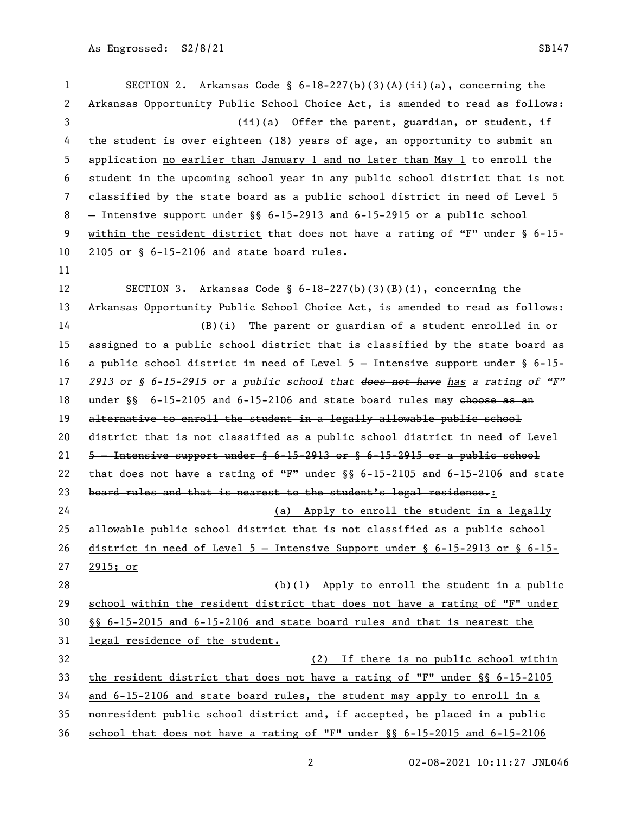SECTION 2. Arkansas Code § 6-18-227(b)(3)(A)(ii)(a), concerning the Arkansas Opportunity Public School Choice Act, is amended to read as follows: (ii)(a) Offer the parent, guardian, or student, if the student is over eighteen (18) years of age, an opportunity to submit an application no earlier than January 1 and no later than May 1 to enroll the student in the upcoming school year in any public school district that is not classified by the state board as a public school district in need of Level 5 — Intensive support under §§ 6-15-2913 and 6-15-2915 or a public school within the resident district that does not have a rating of "F" under § 6-15- 2105 or § 6-15-2106 and state board rules. SECTION 3. Arkansas Code § 6-18-227(b)(3)(B)(i), concerning the Arkansas Opportunity Public School Choice Act, is amended to read as follows: (B)(i) The parent or guardian of a student enrolled in or assigned to a public school district that is classified by the state board as a public school district in need of Level 5 — Intensive support under § 6-15- *2913 or § 6-15-2915 or a public school that does not have has a rating of "F"* 18 under §§ 6-15-2105 and 6-15-2106 and state board rules may ehoose as an 19 alternative to enroll the student in a legally allowable public school district that is not classified as a public school district in need of Level  $5 -$  Intensive support under  $\frac{6}{5}$  6-15-2913 or  $\frac{6}{5}$  6-15-2915 or a public school 22 that does not have a rating of "F" under  $\S$   $\S$  6-15-2105 and 6-15-2106 and state 23 board rules and that is nearest to the student's legal residence.: (a) Apply to enroll the student in a legally allowable public school district that is not classified as a public school district in need of Level 5 — Intensive Support under § 6-15-2913 or § 6-15- 2915; or (b)(1) Apply to enroll the student in a public school within the resident district that does not have a rating of "F" under §§ 6-15-2015 and 6-15-2106 and state board rules and that is nearest the legal residence of the student. (2) If there is no public school within the resident district that does not have a rating of "F" under §§ 6-15-2105 and 6-15-2106 and state board rules, the student may apply to enroll in a nonresident public school district and, if accepted, be placed in a public school that does not have a rating of "F" under §§ 6-15-2015 and 6-15-2106

02-08-2021 10:11:27 JNL046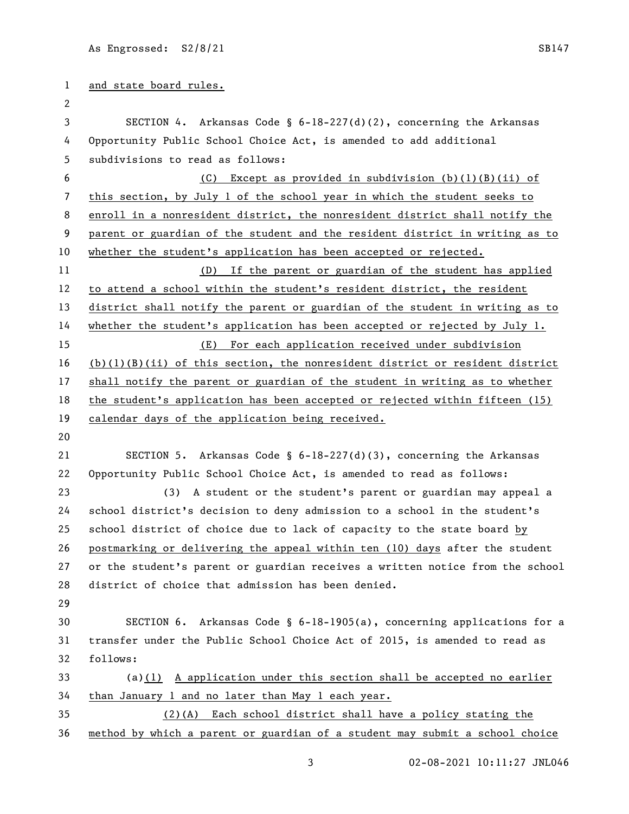and state board rules. SECTION 4. Arkansas Code § 6-18-227(d)(2), concerning the Arkansas Opportunity Public School Choice Act, is amended to add additional subdivisions to read as follows: (C) Except as provided in subdivision (b)(1)(B)(ii) of this section, by July 1 of the school year in which the student seeks to enroll in a nonresident district, the nonresident district shall notify the parent or guardian of the student and the resident district in writing as to 10 whether the student's application has been accepted or rejected. (D) If the parent or guardian of the student has applied to attend a school within the student's resident district, the resident district shall notify the parent or guardian of the student in writing as to whether the student's application has been accepted or rejected by July 1. (E) For each application received under subdivision (b)(1)(B)(ii) of this section, the nonresident district or resident district shall notify the parent or guardian of the student in writing as to whether the student's application has been accepted or rejected within fifteen (15) calendar days of the application being received. SECTION 5. Arkansas Code § 6-18-227(d)(3), concerning the Arkansas Opportunity Public School Choice Act, is amended to read as follows: (3) A student or the student's parent or guardian may appeal a school district's decision to deny admission to a school in the student's school district of choice due to lack of capacity to the state board by postmarking or delivering the appeal within ten (10) days after the student or the student's parent or guardian receives a written notice from the school district of choice that admission has been denied. SECTION 6. Arkansas Code § 6-18-1905(a), concerning applications for a transfer under the Public School Choice Act of 2015, is amended to read as follows: (a)(1) A application under this section shall be accepted no earlier 34 than January 1 and no later than May 1 each year. (2)(A) Each school district shall have a policy stating the method by which a parent or guardian of a student may submit a school choice

02-08-2021 10:11:27 JNL046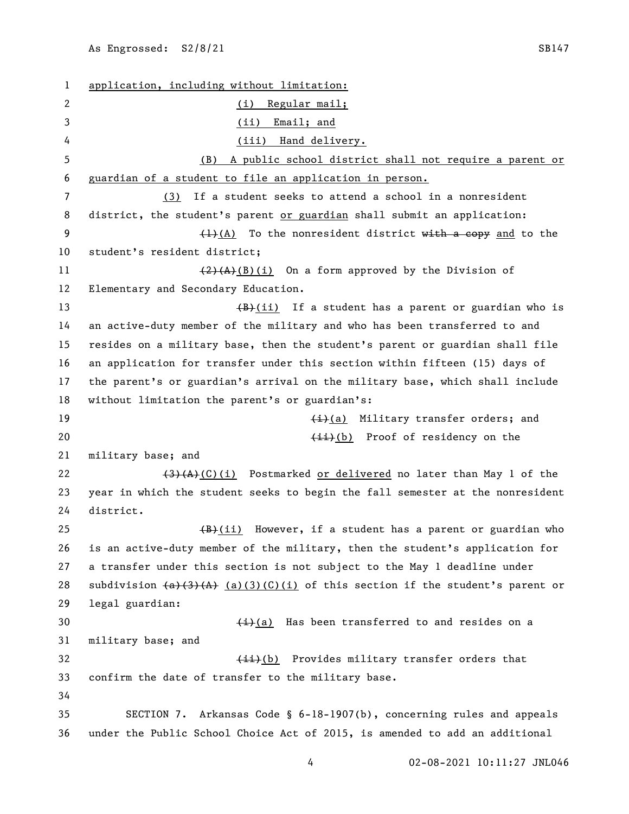application, including without limitation: (i) Regular mail; (ii) Email; and 4 (iii) Hand delivery. (B) A public school district shall not require a parent or guardian of a student to file an application in person. (3) If a student seeks to attend a school in a nonresident 8 district, the student's parent or guardian shall submit an application:  $\left(1\right)(A)$  To the nonresident district with a copy and to the student's resident district;  $\left(\frac{2}{A}\right)(B)(i)$  On a form approved by the Division of Elementary and Secondary Education. 13 (B)(ii) If a student has a parent or guardian who is an active-duty member of the military and who has been transferred to and resides on a military base, then the student's parent or guardian shall file an application for transfer under this section within fifteen (15) days of the parent's or guardian's arrival on the military base, which shall include without limitation the parent's or guardian's: 19 (i)(a) Military transfer orders; and (ii)(b) Proof of residency on the military base; and  $(3)(A)(C)(i)$  Postmarked or delivered no later than May 1 of the year in which the student seeks to begin the fall semester at the nonresident district. 25 (B)(ii) However, if a student has a parent or guardian who is an active-duty member of the military, then the student's application for a transfer under this section is not subject to the May 1 deadline under 28 subdivision  $(a)(A)$   $(A)$   $(a)(3)(C)(i)$  of this section if the student's parent or legal guardian:  $\frac{1}{i}(a)$  Has been transferred to and resides on a military base; and 32 (ii)(b) Provides military transfer orders that confirm the date of transfer to the military base. SECTION 7. Arkansas Code § 6-18-1907(b), concerning rules and appeals under the Public School Choice Act of 2015, is amended to add an additional